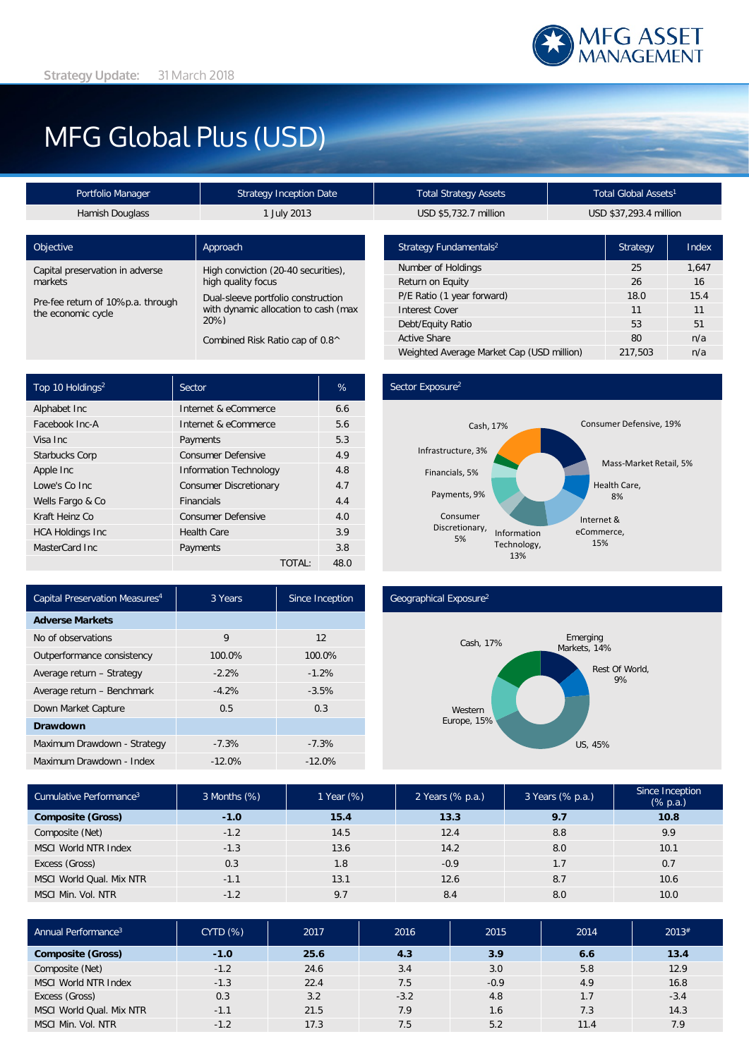

# MFG Global Plus (USD)

| Portfolio Manager                                       | Strategy Inception Date                                                               | Total Strategy Assets                           | Total Global Assets' |  |
|---------------------------------------------------------|---------------------------------------------------------------------------------------|-------------------------------------------------|----------------------|--|
| Hamish Douglass                                         | 1 July 2013                                                                           | USD \$5,732.7 million<br>USD \$37,293.4 millior |                      |  |
| Objective                                               | Approach                                                                              | Strategy Fundamentals <sup>2</sup>              | Strategy             |  |
| Capital preservation in adverse                         | High conviction (20-40 securities),                                                   | Number of Holdings                              | 25                   |  |
| markets                                                 | high quality focus                                                                    | Return on Equity                                | 26                   |  |
| Pre-fee return of 10%p.a. through<br>the economic cycle | Dual-sleeve portfolio construction<br>with dynamic allocation to cash (max<br>$20\%)$ | P/E Ratio (1 year forward)                      | 18.0                 |  |
|                                                         |                                                                                       | <b>Interest Cover</b>                           | 11                   |  |
|                                                         |                                                                                       | Debt/Equity Ratio                               | 53                   |  |
| Combined Risk Ratio cap of 0.8^                         |                                                                                       | <b>Active Share</b>                             | 80                   |  |
|                                                         |                                                                                       |                                                 |                      |  |

| Top 10 Holdings <sup>2</sup> | Sector                        | %    |
|------------------------------|-------------------------------|------|
| Alphabet Inc                 | Internet & eCommerce          | 6.6  |
| Facebook Inc-A               | Internet & eCommerce          | 5.6  |
| Visa Inc.                    | Payments                      | 5.3  |
| <b>Starbucks Corp</b>        | <b>Consumer Defensive</b>     | 4.9  |
| Apple Inc                    | <b>Information Technology</b> | 4.8  |
| Lowe's Co Inc.               | <b>Consumer Discretionary</b> | 4.7  |
| Wells Fargo & Co             | <b>Financials</b>             | 4.4  |
| Kraft Heinz Co               | <b>Consumer Defensive</b>     | 4.0  |
| <b>HCA Holdings Inc</b>      | <b>Health Care</b>            | 3.9  |
| MasterCard Inc.              | Payments                      | 3.8  |
|                              | TOTAL:                        | 48.0 |

| Portfolio Manager | Strategy Inception Date | <b>Total Strategy Assets</b> | Total Global Assets <sup>1</sup> |
|-------------------|-------------------------|------------------------------|----------------------------------|
| Hamish Douglass   | <b>July 2013</b>        | USD \$5.732.7 million        | USD \$37.293.4 millio            |

| Strategy Fundamentals <sup>2</sup>        | <b>Strategy</b> | Index |
|-------------------------------------------|-----------------|-------|
| Number of Holdings                        | 25              | 1,647 |
| Return on Equity                          | 26              | 16    |
| P/E Ratio (1 year forward)                | 18.0            | 15.4  |
| <b>Interest Cover</b>                     | 11              | 11    |
| Debt/Equity Ratio                         | 53              | 51    |
| <b>Active Share</b>                       | 80              | n/a   |
| Weighted Average Market Cap (USD million) | 217.503         | n/a   |

## Sector Exposure<sup>2</sup>



| Capital Preservation Measures <sup>4</sup> | 3 Years  | Since Inception |  |
|--------------------------------------------|----------|-----------------|--|
| <b>Adverse Markets</b>                     |          |                 |  |
| No of observations                         | 9        | 12              |  |
| Outperformance consistency                 | 100.0%   | 100.0%          |  |
| Average return - Strategy                  | $-2.2%$  | $-1.2%$         |  |
| Average return - Benchmark                 | $-4.2%$  | $-3.5%$         |  |
| Down Market Capture                        | 0.5      | 0.3             |  |
| <b>Drawdown</b>                            |          |                 |  |
| Maximum Drawdown - Strategy                | $-7.3%$  | $-7.3%$         |  |
| Maximum Drawdown - Index                   | $-12.0%$ | $-12.0%$        |  |

#### Geographical Exposure2



| Cumulative Performance <sup>3</sup> | 3 Months (%) | 1 Year (%) | 2 Years (% p.a.) | 3 Years (% p.a.) | Since Inception<br>$(% \mathbb{R}^2)$ (% p.a.) |
|-------------------------------------|--------------|------------|------------------|------------------|------------------------------------------------|
| <b>Composite (Gross)</b>            | $-1.0$       | 15.4       | 13.3             | 9.7              | 10.8                                           |
| Composite (Net)                     | $-1.2$       | 14.5       | 12.4             | 8.8              | 9.9                                            |
| <b>MSCI World NTR Index</b>         | $-1.3$       | 13.6       | 14.2             | 8.0              | 10.1                                           |
| Excess (Gross)                      | 0.3          | 1.8        | $-0.9$           | 1.7              | 0.7                                            |
| MSCI World Qual, Mix NTR            | $-1.1$       | 13.1       | 12.6             | 8.7              | 10.6                                           |
| MSCI Min. Vol. NTR                  | $-1.2$       | 9.7        | 8.4              | 8.0              | 10.0                                           |

| Annual Performance <sup>3</sup> | CYTD(%) | 2017 | 2016   | 2015             | 2014 | 2013#  |
|---------------------------------|---------|------|--------|------------------|------|--------|
| <b>Composite (Gross)</b>        | $-1.0$  | 25.6 | 4.3    | 3.9 <sup>°</sup> | 6.6  | 13.4   |
| Composite (Net)                 | $-1.2$  | 24.6 | 3.4    | 3.0              | 5.8  | 12.9   |
| <b>MSCI World NTR Index</b>     | $-1.3$  | 22.4 | 7.5    | $-0.9$           | 4.9  | 16.8   |
| Excess (Gross)                  | 0.3     | 3.2  | $-3.2$ | 4.8              | 1.7  | $-3.4$ |
| MSCI World Qual, Mix NTR        | $-1.1$  | 21.5 | 7.9    | 1.6              | 7.3  | 14.3   |
| MSCI Min. Vol. NTR              | $-1.2$  | 17.3 | 7.5    | 5.2              | 11.4 | 7.9    |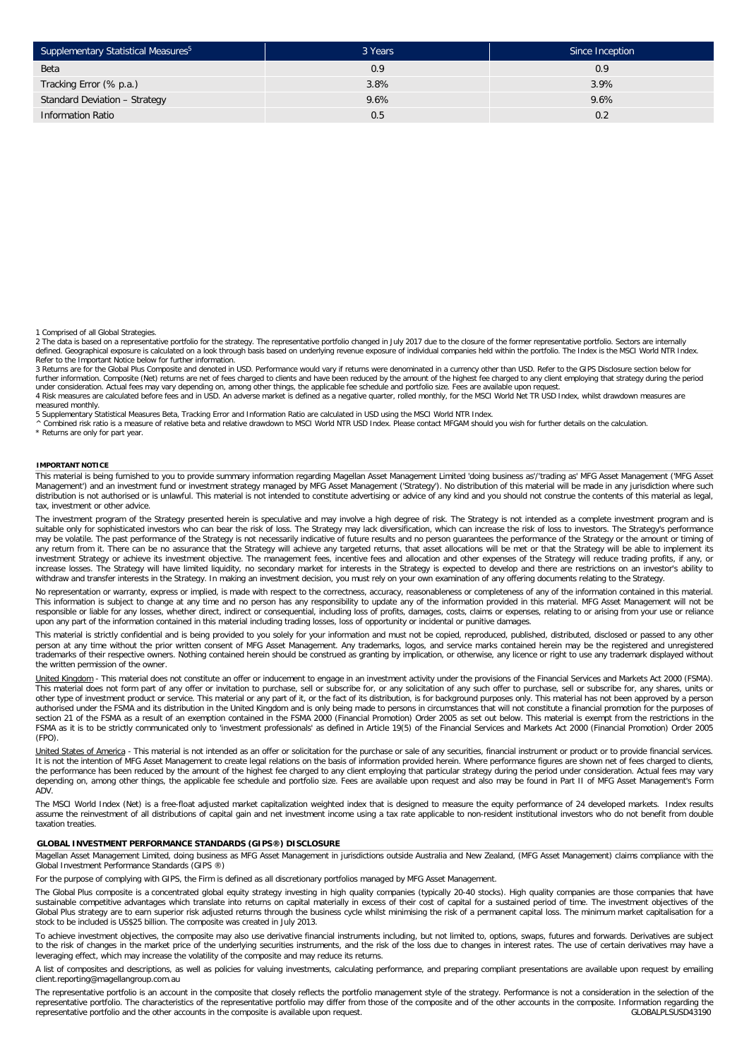| Supplementary Statistical Measures <sup>5</sup> | 3 Years | Since Inception |
|-------------------------------------------------|---------|-----------------|
| Beta                                            | 0.9     | 0.9             |
| Tracking Error (% p.a.)                         | 3.8%    | 3.9%            |
| Standard Deviation - Strategy                   | 9.6%    | 9.6%            |
| <b>Information Ratio</b>                        | 0.5     | 0.2             |

1 Comprised of all Global Strategies.

2 The data is based on a representative portfolio for the strategy. The representative portfolio changed in July 2017 due to the closure of the former representative portfolio. Sectors are internally<br>defined. Geographical Refer to the Important Notice below for further information.

3 Returns are for the Global Plus Composite and denoted in USD. Performance would vary if returns were denominated in a currency other than USD. Refer to the GIPS Disclosure section below for<br>further information. Composite under consideration. Actual fees may vary depending on, among other things, the applicable fee schedule and portfolio size. Fees are available upon request.

4 Risk measures are calculated before fees and in USD. An adverse market is defined as a negative quarter, rolled monthly, for the MSCI World Net TR USD Index, whilst drawdown measures are measured monthly.

5 Supplementary Statistical Measures Beta, Tracking Error and Information Ratio are calculated in USD using the MSCI World NTR Index.

^ Combined risk ratio is a measure of relative beta and relative drawdown to MSCI World NTR USD Index. Please contact MFGAM should you wish for further details on the calculation.

\* Returns are only for part year.

#### **IMPORTANT NOTICE**

This material is being furnished to you to provide summary information regarding Magellan Asset Management Limited 'doing business as'/'trading as' MFG Asset Management ('MFG Asset Management') and an investment fund or investment strategy managed by MFG Asset Management ('Strategy'). No distribution of this material will be made in any jurisdiction where such distribution is not authorised or is unlawful. This material is not intended to constitute advertising or advice of any kind and you should not construe the contents of this material as legal. tax, investment or other advice.

The investment program of the Strategy presented herein is speculative and may involve a high degree of risk. The Strategy is not intended as a complete investment program and is suitable only for sophisticated investors who can bear the risk of loss. The Strategy may lack diversification, which can increase the risk of loss to investors. The Strategy's performance may be volatile. The past performance of the Strategy is not necessarily indicative of future results and no person guarantees the performance of the Strategy or the amount or timing of any return from it. There can be no assurance that the Strategy will achieve any targeted returns, that asset allocations will be met or that the Strategy will be able to implement its investment Strategy or achieve its investment objective. The management fees, incentive fees and allocation and other expenses of the Strategy will reduce trading profits, if any, or increase losses. The Strategy will have limited liquidity, no secondary market for interests in the Strategy is expected to develop and there are restrictions on an investor's ability to withdraw and transfer interests in the Strategy. In making an investment decision, you must rely on your own examination of any offering documents relating to the Strategy.

No representation or warranty, express or implied, is made with respect to the correctness, accuracy, reasonableness or completeness of any of the information contained in this material. This information is subject to change at any time and no person has any responsibility to update any of the information provided in this material. MFG Asset Management will not be responsible or liable for any losses, whether direct, indirect or consequential, including loss of profits, damages, costs, claims or expenses, relating to or arising from your use or reliance upon any part of the information contained in this material including trading losses, loss of opportunity or incidental or punitive damages.

This material is strictly confidential and is being provided to you solely for your information and must not be copied, reproduced, published, distributed, disclosed or passed to any other person at any time without the prior written consent of MFG Asset Management. Any trademarks, logos, and service marks contained herein may be the registered and unregistered trademarks of their respective owners. Nothing contained herein should be construed as granting by implication, or otherwise, any licence or right to use any trademark displayed without the written permission of the owner.

United Kingdom - This material does not constitute an offer or inducement to engage in an investment activity under the provisions of the Financial Services and Markets Act 2000 (FSMA). This material does not form part of any offer or invitation to purchase, sell or subscribe for, or any solicitation of any such offer to purchase, sell or subscribe for, any shares, units or other type of investment product or service. This material or any part of it, or the fact of its distribution, is for background purposes only. This material has not been approved by a person authorised under the FSMA and its distribution in the United Kingdom and is only being made to persons in circumstances that will not constitute a financial promotion for the purposes of section 21 of the FSMA as a result of an exemption contained in the FSMA 2000 (Financial Promotion) Order 2005 as set out below. This material is exempt from the restrictions in the FSMA as it is to be strictly communicated only to 'investment professionals' as defined in Article 19(5) of the Financial Services and Markets Act 2000 (Financial Promotion) Order 2005 (FPO).

United States of America - This material is not intended as an offer or solicitation for the purchase or sale of any securities, financial instrument or product or to provide financial services. It is not the intention of MFG Asset Management to create legal relations on the basis of information provided herein. Where performance figures are shown net of fees charged to clients, the performance has been reduced by the amount of the highest fee charged to any client employing that particular strategy during the period under consideration. Actual fees may vary depending on, among other things, the applicable fee schedule and portfolio size. Fees are available upon request and also may be found in Part II of MFG Asset Management's Form ADV.

The MSCI World Index (Net) is a free-float adjusted market capitalization weighted index that is designed to measure the equity performance of 24 developed markets. Index results assume the reinvestment of all distributions of capital gain and net investment income using a tax rate applicable to non-resident institutional investors who do not benefit from double taxation treaties.

#### **GLOBAL INVESTMENT PERFORMANCE STANDARDS (GIPS®) DISCLOSURE**

Magellan Asset Management Limited, doing business as MFG Asset Management in jurisdictions outside Australia and New Zealand, (MFG Asset Management) claims compliance with the Global Investment Performance Standards (GIPS ®)

For the purpose of complying with GIPS, the Firm is defined as all discretionary portfolios managed by MFG Asset Management.

The Global Plus composite is a concentrated global equity strategy investing in high quality companies (typically 20-40 stocks). High quality companies are those companies that have sustainable competitive advantages which translate into returns on capital materially in excess of their cost of capital for a sustained period of time. The investment objectives of the Global Plus strategy are to earn superior risk adjusted returns through the business cycle whilst minimising the risk of a permanent capital loss. The minimum market capitalisation for a stock to be included is US\$25 billion. The composite was created in July 2013.

To achieve investment objectives, the composite may also use derivative financial instruments including, but not limited to, options, swaps, futures and forwards. Derivatives are subject<br>to the risk of changes in the marke leveraging effect, which may increase the volatility of the composite and may reduce its returns.

A list of composites and descriptions, as well as policies for valuing investments, calculating performance, and preparing compliant presentations are available upon request by emailing client.reporting@magellangroup.com.au

The representative portfolio is an account in the composite that closely reflects the portfolio management style of the strategy. Performance is not a consideration in the selection of the<br>representative portfolio. The cha representative portfolio and the other accounts in the composite is available upon request.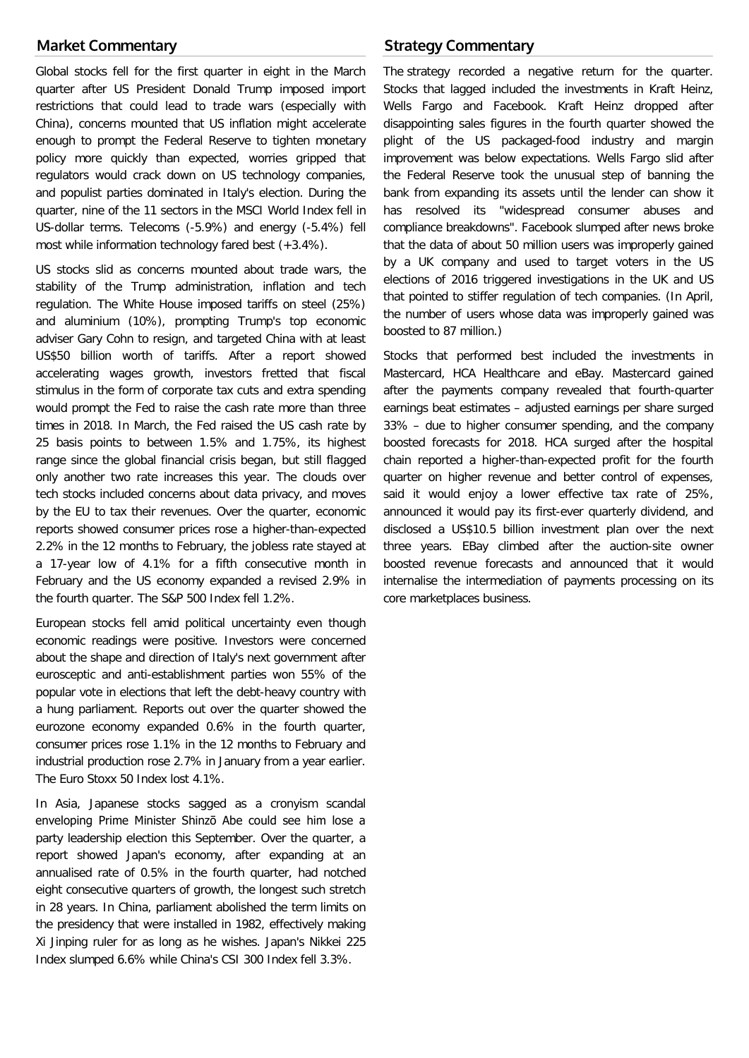# **Market Commentary**

Global stocks fell for the first quarter in eight in the March quarter after US President Donald Trump imposed import restrictions that could lead to trade wars (especially with China), concerns mounted that US inflation might accelerate enough to prompt the Federal Reserve to tighten monetary policy more quickly than expected, worries gripped that regulators would crack down on US technology companies, and populist parties dominated in Italy's election. During the quarter, nine of the 11 sectors in the MSCI World Index fell in US-dollar terms. Telecoms (-5.9%) and energy (-5.4%) fell most while information technology fared best (+3.4%).

US stocks slid as concerns mounted about trade wars, the stability of the Trump administration, inflation and tech regulation. The White House imposed tariffs on steel (25%) and aluminium (10%), prompting Trump's top economic adviser Gary Cohn to resign, and targeted China with at least US\$50 billion worth of tariffs. After a report showed accelerating wages growth, investors fretted that fiscal stimulus in the form of corporate tax cuts and extra spending would prompt the Fed to raise the cash rate more than three times in 2018. In March, the Fed raised the US cash rate by 25 basis points to between 1.5% and 1.75%, its highest range since the global financial crisis began, but still flagged only another two rate increases this year. The clouds over tech stocks included concerns about data privacy, and moves by the EU to tax their revenues. Over the quarter, economic reports showed consumer prices rose a higher-than-expected 2.2% in the 12 months to February, the jobless rate stayed at a 17-year low of 4.1% for a fifth consecutive month in February and the US economy expanded a revised 2.9% in the fourth quarter. The S&P 500 Index fell 1.2%.

European stocks fell amid political uncertainty even though economic readings were positive. Investors were concerned about the shape and direction of Italy's next government after eurosceptic and anti-establishment parties won 55% of the popular vote in elections that left the debt-heavy country with a hung parliament. Reports out over the quarter showed the eurozone economy expanded 0.6% in the fourth quarter, consumer prices rose 1.1% in the 12 months to February and industrial production rose 2.7% in January from a year earlier. The Euro Stoxx 50 Index lost 4.1%.

In Asia, Japanese stocks sagged as a cronyism scandal enveloping Prime Minister Shinzō Abe could see him lose a party leadership election this September. Over the quarter, a report showed Japan's economy, after expanding at an annualised rate of 0.5% in the fourth quarter, had notched eight consecutive quarters of growth, the longest such stretch in 28 years. In China, parliament abolished the term limits on the presidency that were installed in 1982, effectively making Xi Jinping ruler for as long as he wishes. Japan's Nikkei 225 Index slumped 6.6% while China's CSI 300 Index fell 3.3%.

# **Strategy Commentary**

The strategy recorded a negative return for the quarter. Stocks that lagged included the investments in Kraft Heinz, Wells Fargo and Facebook. Kraft Heinz dropped after disappointing sales figures in the fourth quarter showed the plight of the US packaged-food industry and margin improvement was below expectations. Wells Fargo slid after the Federal Reserve took the unusual step of banning the bank from expanding its assets until the lender can show it has resolved its "widespread consumer abuses and compliance breakdowns". Facebook slumped after news broke that the data of about 50 million users was improperly gained by a UK company and used to target voters in the US elections of 2016 triggered investigations in the UK and US that pointed to stiffer regulation of tech companies. (In April, the number of users whose data was improperly gained was boosted to 87 million.)

Stocks that performed best included the investments in Mastercard, HCA Healthcare and eBay. Mastercard gained after the payments company revealed that fourth-quarter earnings beat estimates – adjusted earnings per share surged 33% – due to higher consumer spending, and the company boosted forecasts for 2018. HCA surged after the hospital chain reported a higher-than-expected profit for the fourth quarter on higher revenue and better control of expenses, said it would enjoy a lower effective tax rate of 25%, announced it would pay its first-ever quarterly dividend, and disclosed a US\$10.5 billion investment plan over the next three years. EBay climbed after the auction-site owner boosted revenue forecasts and announced that it would internalise the intermediation of payments processing on its core marketplaces business.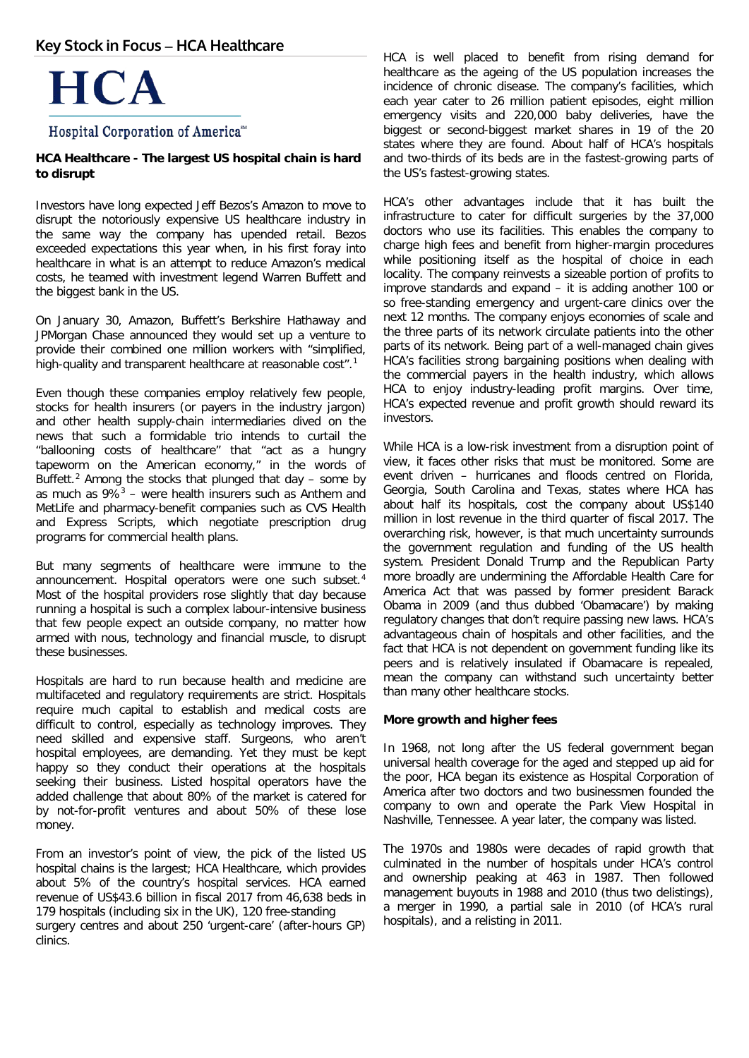# **Key Stock in Focus – HCA Healthcare**



# Hospital Corporation of America<sup>®</sup>

### **HCA Healthcare - The largest US hospital chain is hard to disrupt**

Investors have long expected Jeff Bezos's Amazon to move to disrupt the notoriously expensive US healthcare industry in the same way the company has upended retail. Bezos exceeded expectations this year when, in his first foray into healthcare in what is an attempt to reduce Amazon's medical costs, he teamed with investment legend Warren Buffett and the biggest bank in the US.

On January 30, Amazon, Buffett's Berkshire Hathaway and JPMorgan Chase announced they would set up a venture to provide their combined one million workers with "simplified, high-quality and transparent healthcare at reasonable cost".<sup>[1](#page-3-0)</sup>

Even though these companies employ relatively few people, stocks for health insurers (or payers in the industry jargon) and other health supply-chain intermediaries dived on the news that such a formidable trio intends to curtail the "ballooning costs of healthcare" that "act as a hungry tapeworm on the American economy," in the words of Buffett.<sup>[2](#page-3-1)</sup> Among the stocks that plunged that day – some by as much as  $9\%$ <sup>[3](#page-3-2)</sup> – were health insurers such as Anthem and MetLife and pharmacy-benefit companies such as CVS Health and Express Scripts, which negotiate prescription drug programs for commercial health plans.

But many segments of healthcare were immune to the announcement. Hospital operators were one such subset.<sup>[4](#page-3-3)</sup> Most of the hospital providers rose slightly that day because running a hospital is such a complex labour-intensive business that few people expect an outside company, no matter how armed with nous, technology and financial muscle, to disrupt these businesses.

Hospitals are hard to run because health and medicine are multifaceted and regulatory requirements are strict. Hospitals require much capital to establish and medical costs are difficult to control, especially as technology improves. They need skilled and expensive staff. Surgeons, who aren't hospital employees, are demanding. Yet they must be kept happy so they conduct their operations at the hospitals seeking their business. Listed hospital operators have the added challenge that about 80% of the market is catered for by not-for-profit ventures and about 50% of these lose money.

<span id="page-3-3"></span><span id="page-3-2"></span><span id="page-3-1"></span><span id="page-3-0"></span>From an investor's point of view, the pick of the listed US hospital chains is the largest; HCA Healthcare, which provides about 5% of the country's hospital services. HCA earned revenue of US\$43.6 billion in fiscal 2017 from 46,638 beds in 179 hospitals (including six in the UK), 120 free-standing surgery centres and about 250 'urgent-care' (after-hours GP) clinics.

HCA is well placed to benefit from rising demand for healthcare as the ageing of the US population increases the incidence of chronic disease. The company's facilities, which each year cater to 26 million patient episodes, eight million emergency visits and 220,000 baby deliveries, have the biggest or second-biggest market shares in 19 of the 20 states where they are found. About half of HCA's hospitals and two-thirds of its beds are in the fastest-growing parts of the US's fastest-growing states.

HCA's other advantages include that it has built the infrastructure to cater for difficult surgeries by the 37,000 doctors who use its facilities. This enables the company to charge high fees and benefit from higher-margin procedures while positioning itself as the hospital of choice in each locality. The company reinvests a sizeable portion of profits to improve standards and expand – it is adding another 100 or so free-standing emergency and urgent-care clinics over the next 12 months. The company enjoys economies of scale and the three parts of its network circulate patients into the other parts of its network. Being part of a well-managed chain gives HCA's facilities strong bargaining positions when dealing with the commercial payers in the health industry, which allows HCA to enjoy industry-leading profit margins. Over time, HCA's expected revenue and profit growth should reward its investors.

While HCA is a low-risk investment from a disruption point of view, it faces other risks that must be monitored. Some are event driven – hurricanes and floods centred on Florida, Georgia, South Carolina and Texas, states where HCA has about half its hospitals, cost the company about US\$140 million in lost revenue in the third quarter of fiscal 2017. The overarching risk, however, is that much uncertainty surrounds the government regulation and funding of the US health system. President Donald Trump and the Republican Party more broadly are undermining the Affordable Health Care for America Act that was passed by former president Barack Obama in 2009 (and thus dubbed 'Obamacare') by making regulatory changes that don't require passing new laws. HCA's advantageous chain of hospitals and other facilities, and the fact that HCA is not dependent on government funding like its peers and is relatively insulated if Obamacare is repealed, mean the company can withstand such uncertainty better than many other healthcare stocks.

### **More growth and higher fees**

In 1968, not long after the US federal government began universal health coverage for the aged and stepped up aid for the poor, HCA began its existence as Hospital Corporation of America after two doctors and two businessmen founded the company to own and operate the Park View Hospital in Nashville, Tennessee. A year later, the company was listed.

The 1970s and 1980s were decades of rapid growth that culminated in the number of hospitals under HCA's control and ownership peaking at 463 in 1987. Then followed management buyouts in 1988 and 2010 (thus two delistings), a merger in 1990, a partial sale in 2010 (of HCA's rural hospitals), and a relisting in 2011.